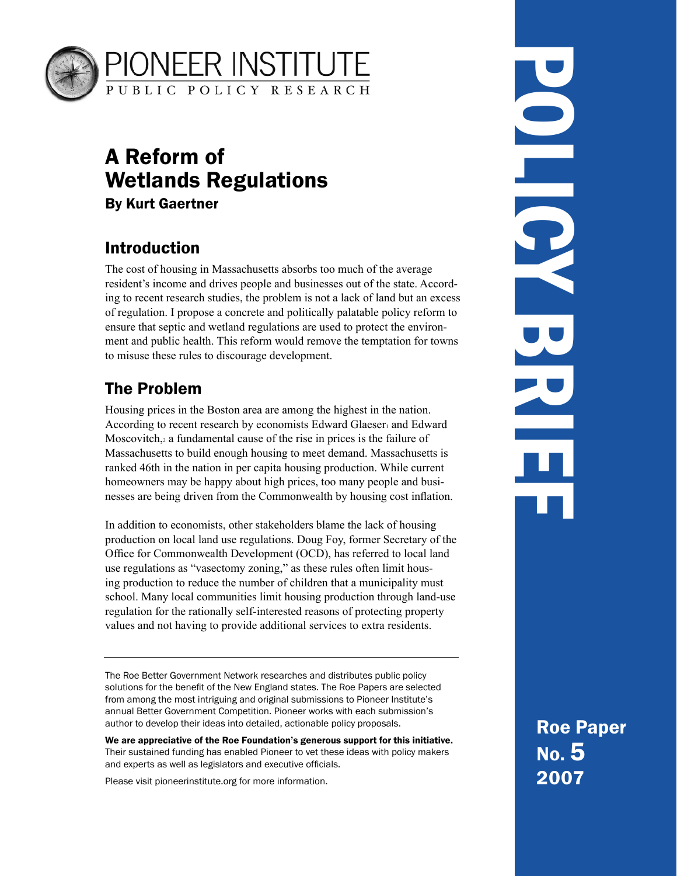

# A Reform of Wetlands Regulations By Kurt Gaertner

## Introduction

The cost of housing in Massachusetts absorbs too much of the average resident's income and drives people and businesses out of the state. According to recent research studies, the problem is not a lack of land but an excess of regulation. I propose a concrete and politically palatable policy reform to ensure that septic and wetland regulations are used to protect the environment and public health. This reform would remove the temptation for towns to misuse these rules to discourage development.

# The Problem

Housing prices in the Boston area are among the highest in the nation. According to recent research by economists Edward Glaeser and Edward Moscovitch, a fundamental cause of the rise in prices is the failure of Massachusetts to build enough housing to meet demand. Massachusetts is ranked 46th in the nation in per capita housing production. While current homeowners may be happy about high prices, too many people and businesses are being driven from the Commonwealth by housing cost inflation.

In addition to economists, other stakeholders blame the lack of housing production on local land use regulations. Doug Foy, former Secretary of the Office for Commonwealth Development (OCD), has referred to local land use regulations as "vasectomy zoning," as these rules often limit housing production to reduce the number of children that a municipality must school. Many local communities limit housing production through land-use regulation for the rationally self-interested reasons of protecting property values and not having to provide additional services to extra residents.

The Roe Better Government Network researches and distributes public policy solutions for the benefit of the New England states. The Roe Papers are selected from among the most intriguing and original submissions to Pioneer Institute's annual Better Government Competition. Pioneer works with each submission's author to develop their ideas into detailed, actionable policy proposals.

We are appreciative of the Roe Foundation's generous support for this initiative. Their sustained funding has enabled Pioneer to vet these ideas with policy makers and experts as well as legislators and executive officials.

Please visit pioneerinstitute.org for more information.

POLICY BRIEF DO LO 

> Roe Paper No. 5 2007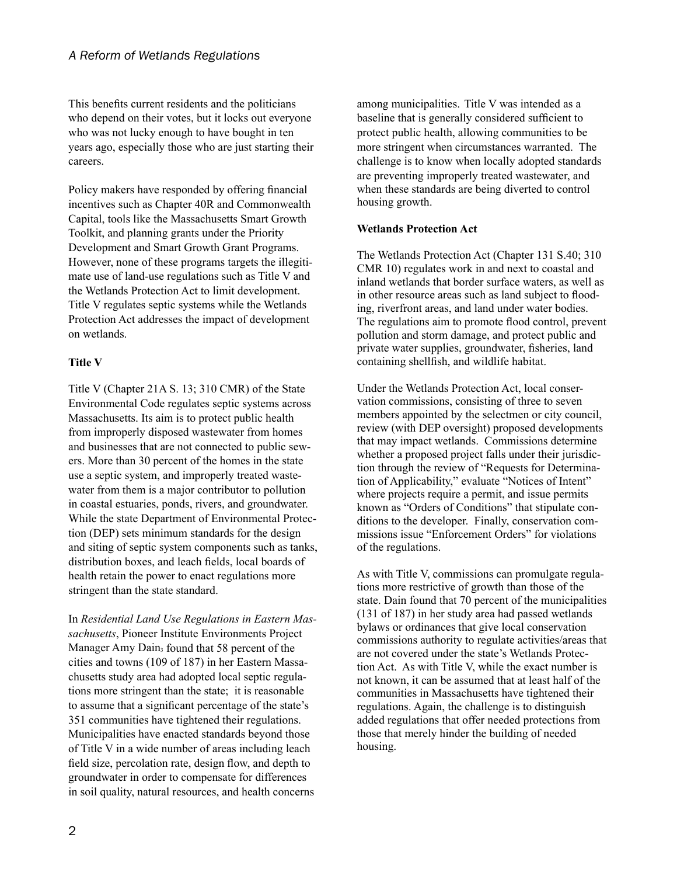This benefits current residents and the politicians who depend on their votes, but it locks out everyone who was not lucky enough to have bought in ten years ago, especially those who are just starting their careers.

Policy makers have responded by offering financial incentives such as Chapter 40R and Commonwealth Capital, tools like the Massachusetts Smart Growth Toolkit, and planning grants under the Priority Development and Smart Growth Grant Programs. However, none of these programs targets the illegitimate use of land-use regulations such as Title V and the Wetlands Protection Act to limit development. Title V regulates septic systems while the Wetlands Protection Act addresses the impact of development on wetlands.

#### **Title V**

Title V (Chapter 21A S. 13; 310 CMR) of the State Environmental Code regulates septic systems across Massachusetts. Its aim is to protect public health from improperly disposed wastewater from homes and businesses that are not connected to public sewers. More than 30 percent of the homes in the state use a septic system, and improperly treated wastewater from them is a major contributor to pollution in coastal estuaries, ponds, rivers, and groundwater. While the state Department of Environmental Protection (DEP) sets minimum standards for the design and siting of septic system components such as tanks, distribution boxes, and leach fields, local boards of health retain the power to enact regulations more stringent than the state standard.

In *Residential Land Use Regulations in Eastern Massachusetts*, Pioneer Institute Environments Project Manager Amy Dain found that 58 percent of the cities and towns (109 of 187) in her Eastern Massachusetts study area had adopted local septic regulations more stringent than the state; it is reasonable to assume that a significant percentage of the state's 351 communities have tightened their regulations. Municipalities have enacted standards beyond those of Title V in a wide number of areas including leach field size, percolation rate, design flow, and depth to groundwater in order to compensate for differences in soil quality, natural resources, and health concerns

among municipalities. Title V was intended as a baseline that is generally considered sufficient to protect public health, allowing communities to be more stringent when circumstances warranted. The challenge is to know when locally adopted standards are preventing improperly treated wastewater, and when these standards are being diverted to control housing growth.

#### **Wetlands Protection Act**

The Wetlands Protection Act (Chapter 131 S.40; 310) CMR 10) regulates work in and next to coastal and inland wetlands that border surface waters, as well as in other resource areas such as land subject to flooding, riverfront areas, and land under water bodies. The regulations aim to promote flood control, prevent pollution and storm damage, and protect public and private water supplies, groundwater, fisheries, land containing shellfish, and wildlife habitat.

Under the Wetlands Protection Act, local conservation commissions, consisting of three to seven members appointed by the selectmen or city council, review (with DEP oversight) proposed developments that may impact wetlands. Commissions determine whether a proposed project falls under their jurisdiction through the review of "Requests for Determination of Applicability," evaluate "Notices of Intent" where projects require a permit, and issue permits known as "Orders of Conditions" that stipulate conditions to the developer. Finally, conservation commissions issue "Enforcement Orders" for violations of the regulations.

As with Title V, commissions can promulgate regulations more restrictive of growth than those of the state. Dain found that 70 percent of the municipalities  $(131$  of 187) in her study area had passed wetlands bylaws or ordinances that give local conservation commissions authority to regulate activities/areas that are not covered under the state's Wetlands Protection Act. As with Title V, while the exact number is not known, it can be assumed that at least half of the communities in Massachusetts have tightened their regulations. Again, the challenge is to distinguish added regulations that offer needed protections from those that merely hinder the building of needed housing.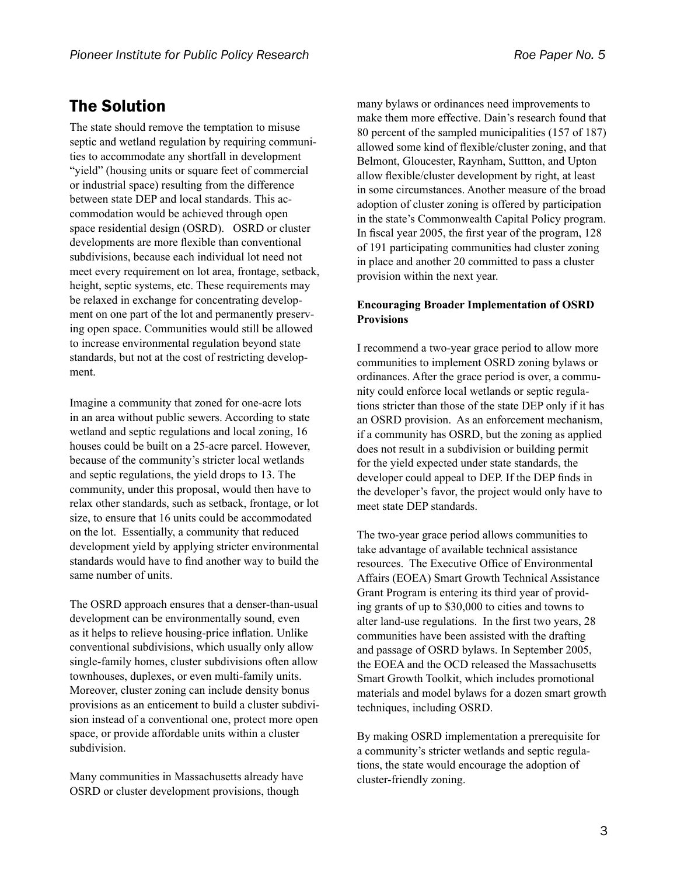## The Solution

The state should remove the temptation to misuse septic and wetland regulation by requiring communities to accommodate any shortfall in development "yield" (housing units or square feet of commercial or industrial space) resulting from the difference between state DEP and local standards. This accommodation would be achieved through open space residential design (OSRD). OSRD or cluster developments are more flexible than conventional subdivisions, because each individual lot need not meet every requirement on lot area, frontage, setback, height, septic systems, etc. These requirements may be relaxed in exchange for concentrating development on one part of the lot and permanently preserving open space. Communities would still be allowed to increase environmental regulation beyond state standards, but not at the cost of restricting development.

Imagine a community that zoned for one-acre lots in an area without public sewers. According to state wetland and septic regulations and local zoning, 16 houses could be built on a 25-acre parcel. However, because of the community's stricter local wetlands and septic regulations, the yield drops to 13. The community, under this proposal, would then have to relax other standards, such as setback, frontage, or lot size, to ensure that 16 units could be accommodated on the lot. Essentially, a community that reduced development yield by applying stricter environmental standards would have to find another way to build the same number of units.

The OSRD approach ensures that a denser-than-usual development can be environmentally sound, even as it helps to relieve housing-price inflation. Unlike conventional subdivisions, which usually only allow single-family homes, cluster subdivisions often allow townhouses, duplexes, or even multi-family units. Moreover, cluster zoning can include density bonus provisions as an enticement to build a cluster subdivision instead of a conventional one, protect more open space, or provide affordable units within a cluster subdivision.

Many communities in Massachusetts already have OSRD or cluster development provisions, though

many bylaws or ordinances need improvements to make them more effective. Dain's research found that 80 percent of the sampled municipalities (157 of 187) allowed some kind of flexible/cluster zoning, and that Belmont, Gloucester, Raynham, Suttton, and Upton allow flexible/cluster development by right, at least in some circumstances. Another measure of the broad adoption of cluster zoning is offered by participation in the state's Commonwealth Capital Policy program. In fiscal year 2005, the first year of the program,  $128$ of 191 participating communities had cluster zoning in place and another 20 committed to pass a cluster provision within the next year.

#### **Encouraging Broader Implementation of OSRD Provisions**

I recommend a two-year grace period to allow more communities to implement OSRD zoning bylaws or ordinances. After the grace period is over, a community could enforce local wetlands or septic regulations stricter than those of the state DEP only if it has an OSRD provision. As an enforcement mechanism, if a community has OSRD, but the zoning as applied does not result in a subdivision or building permit for the yield expected under state standards, the developer could appeal to DEP. If the DEP finds in the developer's favor, the project would only have to meet state DEP standards.

The two-year grace period allows communities to take advantage of available technical assistance resources. The Executive Office of Environmental Affairs (EOEA) Smart Growth Technical Assistance Grant Program is entering its third year of providing grants of up to  $$30,000$  to cities and towns to alter land-use regulations. In the first two years, 28 communities have been assisted with the drafting and passage of OSRD bylaws. In September 2005, the EOEA and the OCD released the Massachusetts Smart Growth Toolkit, which includes promotional materials and model bylaws for a dozen smart growth techniques, including OSRD.

By making OSRD implementation a prerequisite for a community's stricter wetlands and septic regulations, the state would encourage the adoption of cluster-friendly zoning.